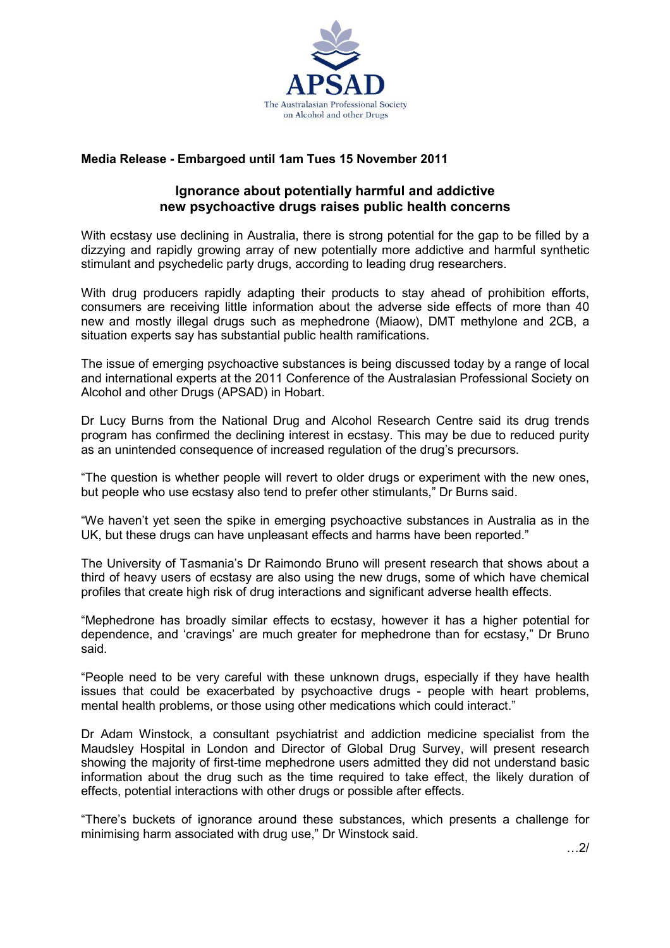

## Media Release - Embargoed until 1am Tues 15 November 2011

## Ignorance about potentially harmful and addictive new psychoactive drugs raises public health concerns

With ecstasy use declining in Australia, there is strong potential for the gap to be filled by a dizzying and rapidly growing array of new potentially more addictive and harmful synthetic stimulant and psychedelic party drugs, according to leading drug researchers.

With drug producers rapidly adapting their products to stay ahead of prohibition efforts, consumers are receiving little information about the adverse side effects of more than 40 new and mostly illegal drugs such as mephedrone (Miaow), DMT methylone and 2CB, a situation experts say has substantial public health ramifications.

The issue of emerging psychoactive substances is being discussed today by a range of local and international experts at the 2011 Conference of the Australasian Professional Society on Alcohol and other Drugs (APSAD) in Hobart.

Dr Lucy Burns from the National Drug and Alcohol Research Centre said its drug trends program has confirmed the declining interest in ecstasy. This may be due to reduced purity as an unintended consequence of increased regulation of the drug's precursors.

"The question is whether people will revert to older drugs or experiment with the new ones, but people who use ecstasy also tend to prefer other stimulants," Dr Burns said.

"We haven't yet seen the spike in emerging psychoactive substances in Australia as in the UK, but these drugs can have unpleasant effects and harms have been reported."

The University of Tasmania's Dr Raimondo Bruno will present research that shows about a third of heavy users of ecstasy are also using the new drugs, some of which have chemical profiles that create high risk of drug interactions and significant adverse health effects.

"Mephedrone has broadly similar effects to ecstasy, however it has a higher potential for dependence, and 'cravings' are much greater for mephedrone than for ecstasy," Dr Bruno said.

"People need to be very careful with these unknown drugs, especially if they have health issues that could be exacerbated by psychoactive drugs - people with heart problems, mental health problems, or those using other medications which could interact."

Dr Adam Winstock, a consultant psychiatrist and addiction medicine specialist from the Maudsley Hospital in London and Director of Global Drug Survey, will present research showing the majority of first-time mephedrone users admitted they did not understand basic information about the drug such as the time required to take effect, the likely duration of effects, potential interactions with other drugs or possible after effects.

"There's buckets of ignorance around these substances, which presents a challenge for minimising harm associated with drug use," Dr Winstock said.